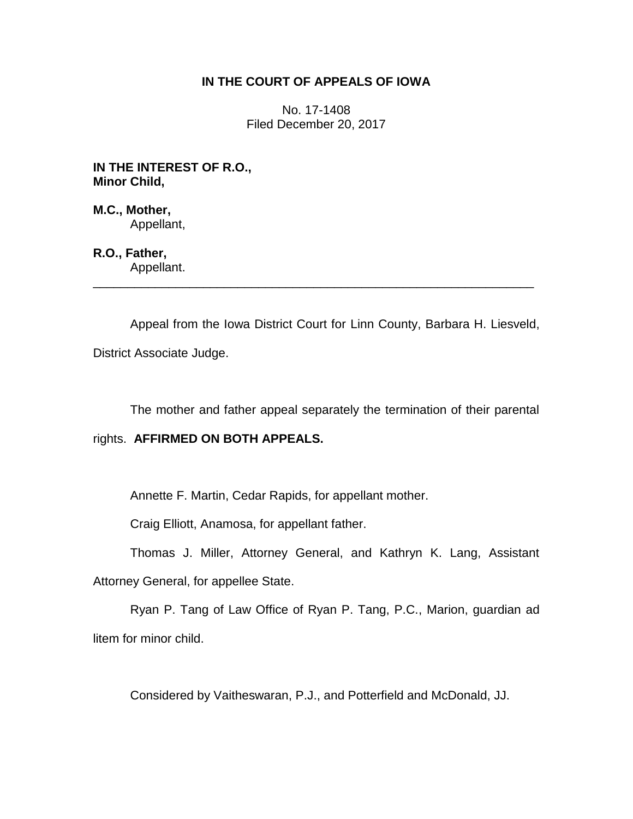### **IN THE COURT OF APPEALS OF IOWA**

No. 17-1408 Filed December 20, 2017

**IN THE INTEREST OF R.O., Minor Child,**

**M.C., Mother,** Appellant,

**R.O., Father,** Appellant.

Appeal from the Iowa District Court for Linn County, Barbara H. Liesveld, District Associate Judge.

\_\_\_\_\_\_\_\_\_\_\_\_\_\_\_\_\_\_\_\_\_\_\_\_\_\_\_\_\_\_\_\_\_\_\_\_\_\_\_\_\_\_\_\_\_\_\_\_\_\_\_\_\_\_\_\_\_\_\_\_\_\_\_\_

The mother and father appeal separately the termination of their parental

rights. **AFFIRMED ON BOTH APPEALS.**

Annette F. Martin, Cedar Rapids, for appellant mother.

Craig Elliott, Anamosa, for appellant father.

Thomas J. Miller, Attorney General, and Kathryn K. Lang, Assistant

Attorney General, for appellee State.

Ryan P. Tang of Law Office of Ryan P. Tang, P.C., Marion, guardian ad litem for minor child.

Considered by Vaitheswaran, P.J., and Potterfield and McDonald, JJ.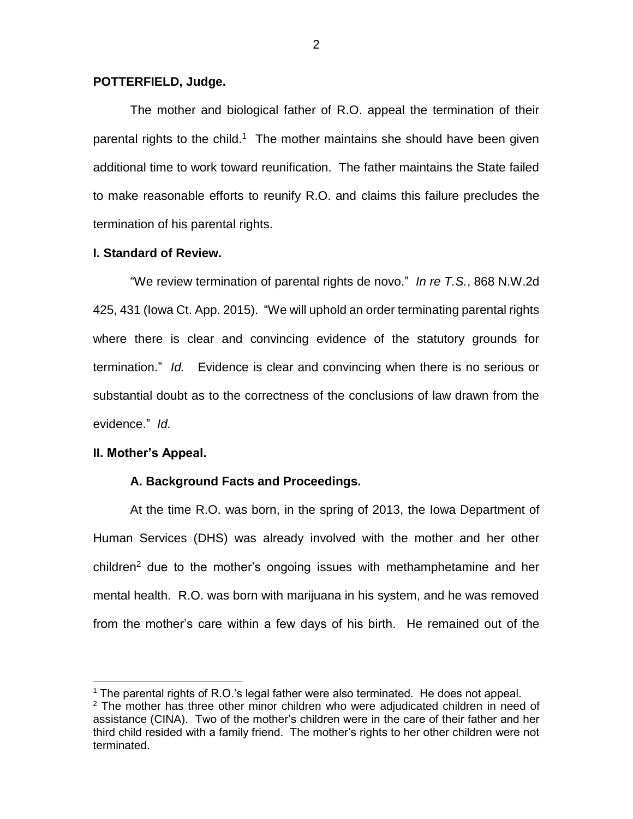#### **POTTERFIELD, Judge.**

The mother and biological father of R.O. appeal the termination of their parental rights to the child.<sup>1</sup> The mother maintains she should have been given additional time to work toward reunification. The father maintains the State failed to make reasonable efforts to reunify R.O. and claims this failure precludes the termination of his parental rights.

### **I. Standard of Review.**

"We review termination of parental rights de novo." *In re T.S.*, 868 N.W.2d 425, 431 (Iowa Ct. App. 2015). "We will uphold an order terminating parental rights where there is clear and convincing evidence of the statutory grounds for termination." *Id.* Evidence is clear and convincing when there is no serious or substantial doubt as to the correctness of the conclusions of law drawn from the evidence." *Id.*

#### **II. Mother's Appeal.**

 $\overline{a}$ 

### **A. Background Facts and Proceedings.**

At the time R.O. was born, in the spring of 2013, the Iowa Department of Human Services (DHS) was already involved with the mother and her other children<sup>2</sup> due to the mother's ongoing issues with methamphetamine and her mental health. R.O. was born with marijuana in his system, and he was removed from the mother's care within a few days of his birth. He remained out of the

<sup>&</sup>lt;sup>1</sup> The parental rights of R.O.'s legal father were also terminated. He does not appeal.

 $2$  The mother has three other minor children who were adjudicated children in need of assistance (CINA). Two of the mother's children were in the care of their father and her third child resided with a family friend. The mother's rights to her other children were not terminated.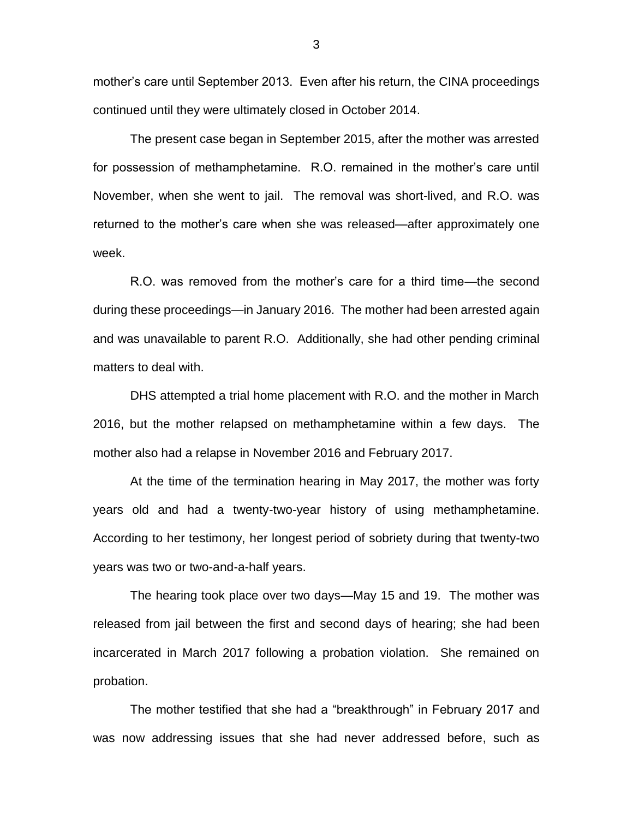mother's care until September 2013. Even after his return, the CINA proceedings continued until they were ultimately closed in October 2014.

The present case began in September 2015, after the mother was arrested for possession of methamphetamine. R.O. remained in the mother's care until November, when she went to jail. The removal was short-lived, and R.O. was returned to the mother's care when she was released—after approximately one week.

R.O. was removed from the mother's care for a third time—the second during these proceedings—in January 2016. The mother had been arrested again and was unavailable to parent R.O. Additionally, she had other pending criminal matters to deal with.

DHS attempted a trial home placement with R.O. and the mother in March 2016, but the mother relapsed on methamphetamine within a few days. The mother also had a relapse in November 2016 and February 2017.

At the time of the termination hearing in May 2017, the mother was forty years old and had a twenty-two-year history of using methamphetamine. According to her testimony, her longest period of sobriety during that twenty-two years was two or two-and-a-half years.

The hearing took place over two days—May 15 and 19. The mother was released from jail between the first and second days of hearing; she had been incarcerated in March 2017 following a probation violation. She remained on probation.

The mother testified that she had a "breakthrough" in February 2017 and was now addressing issues that she had never addressed before, such as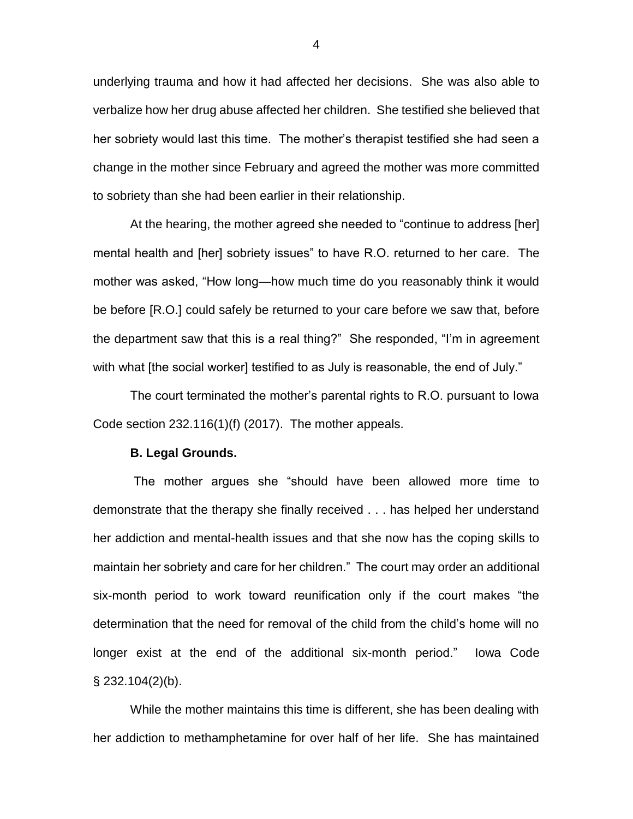underlying trauma and how it had affected her decisions. She was also able to verbalize how her drug abuse affected her children. She testified she believed that her sobriety would last this time. The mother's therapist testified she had seen a change in the mother since February and agreed the mother was more committed to sobriety than she had been earlier in their relationship.

At the hearing, the mother agreed she needed to "continue to address [her] mental health and [her] sobriety issues" to have R.O. returned to her care. The mother was asked, "How long—how much time do you reasonably think it would be before [R.O.] could safely be returned to your care before we saw that, before the department saw that this is a real thing?" She responded, "I'm in agreement with what [the social worker] testified to as July is reasonable, the end of July."

The court terminated the mother's parental rights to R.O. pursuant to Iowa Code section 232.116(1)(f) (2017). The mother appeals.

#### **B. Legal Grounds.**

The mother argues she "should have been allowed more time to demonstrate that the therapy she finally received . . . has helped her understand her addiction and mental-health issues and that she now has the coping skills to maintain her sobriety and care for her children." The court may order an additional six-month period to work toward reunification only if the court makes "the determination that the need for removal of the child from the child's home will no longer exist at the end of the additional six-month period." Iowa Code  $\S$  232.104(2)(b).

While the mother maintains this time is different, she has been dealing with her addiction to methamphetamine for over half of her life. She has maintained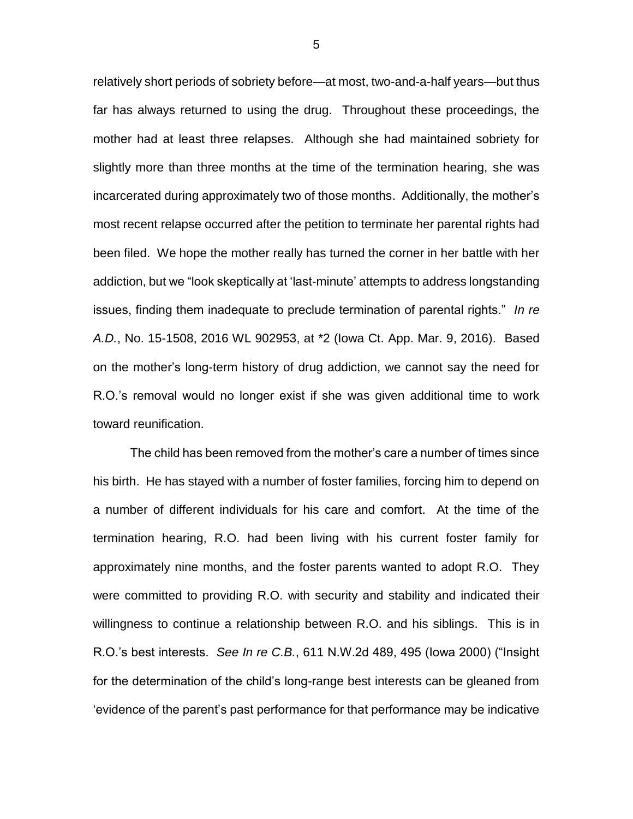relatively short periods of sobriety before—at most, two-and-a-half years—but thus far has always returned to using the drug. Throughout these proceedings, the mother had at least three relapses. Although she had maintained sobriety for slightly more than three months at the time of the termination hearing, she was incarcerated during approximately two of those months. Additionally, the mother's most recent relapse occurred after the petition to terminate her parental rights had been filed. We hope the mother really has turned the corner in her battle with her addiction, but we "look skeptically at 'last-minute' attempts to address longstanding issues, finding them inadequate to preclude termination of parental rights." *In re A.D.*, No. 15-1508, 2016 WL 902953, at \*2 (Iowa Ct. App. Mar. 9, 2016). Based on the mother's long-term history of drug addiction, we cannot say the need for R.O.'s removal would no longer exist if she was given additional time to work toward reunification.

The child has been removed from the mother's care a number of times since his birth. He has stayed with a number of foster families, forcing him to depend on a number of different individuals for his care and comfort. At the time of the termination hearing, R.O. had been living with his current foster family for approximately nine months, and the foster parents wanted to adopt R.O. They were committed to providing R.O. with security and stability and indicated their willingness to continue a relationship between R.O. and his siblings. This is in R.O.'s best interests. *See In re C.B.*, 611 N.W.2d 489, 495 (Iowa 2000) ("Insight for the determination of the child's long-range best interests can be gleaned from 'evidence of the parent's past performance for that performance may be indicative

5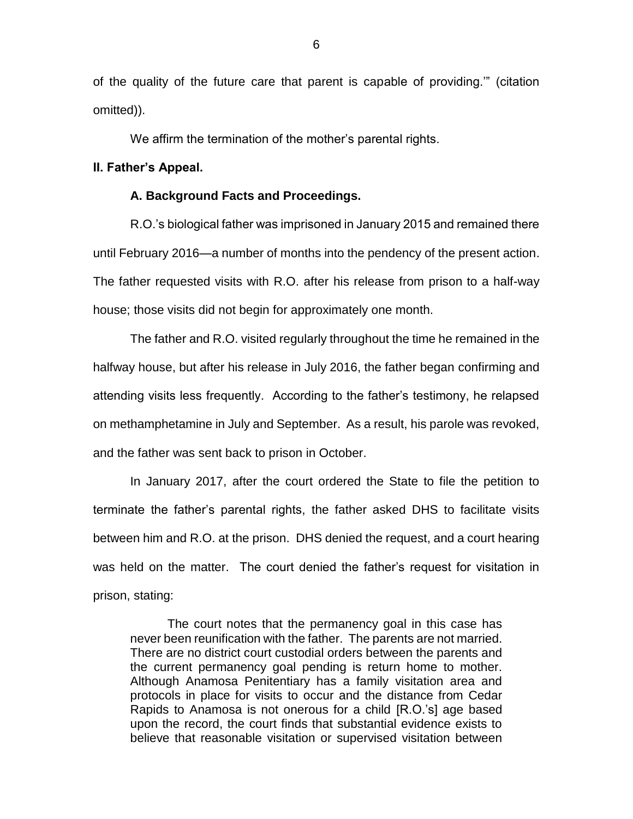of the quality of the future care that parent is capable of providing.'" (citation omitted)).

We affirm the termination of the mother's parental rights.

### **II. Father's Appeal.**

### **A. Background Facts and Proceedings.**

R.O.'s biological father was imprisoned in January 2015 and remained there until February 2016—a number of months into the pendency of the present action. The father requested visits with R.O. after his release from prison to a half-way house; those visits did not begin for approximately one month.

The father and R.O. visited regularly throughout the time he remained in the halfway house, but after his release in July 2016, the father began confirming and attending visits less frequently. According to the father's testimony, he relapsed on methamphetamine in July and September. As a result, his parole was revoked, and the father was sent back to prison in October.

In January 2017, after the court ordered the State to file the petition to terminate the father's parental rights, the father asked DHS to facilitate visits between him and R.O. at the prison. DHS denied the request, and a court hearing was held on the matter. The court denied the father's request for visitation in prison, stating:

The court notes that the permanency goal in this case has never been reunification with the father. The parents are not married. There are no district court custodial orders between the parents and the current permanency goal pending is return home to mother. Although Anamosa Penitentiary has a family visitation area and protocols in place for visits to occur and the distance from Cedar Rapids to Anamosa is not onerous for a child [R.O.'s] age based upon the record, the court finds that substantial evidence exists to believe that reasonable visitation or supervised visitation between

6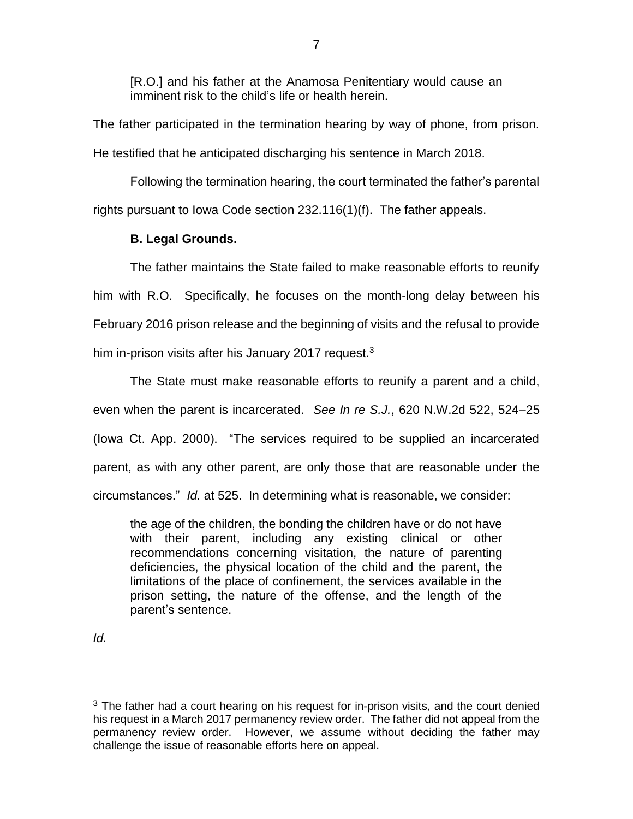[R.O.] and his father at the Anamosa Penitentiary would cause an imminent risk to the child's life or health herein.

The father participated in the termination hearing by way of phone, from prison. He testified that he anticipated discharging his sentence in March 2018.

Following the termination hearing, the court terminated the father's parental rights pursuant to Iowa Code section 232.116(1)(f). The father appeals.

# **B. Legal Grounds.**

The father maintains the State failed to make reasonable efforts to reunify him with R.O. Specifically, he focuses on the month-long delay between his February 2016 prison release and the beginning of visits and the refusal to provide him in-prison visits after his January 2017 request. $3$ 

The State must make reasonable efforts to reunify a parent and a child, even when the parent is incarcerated. *See In re S.J.*, 620 N.W.2d 522, 524–25 (Iowa Ct. App. 2000). "The services required to be supplied an incarcerated parent, as with any other parent, are only those that are reasonable under the circumstances." *Id.* at 525. In determining what is reasonable, we consider:

the age of the children, the bonding the children have or do not have with their parent, including any existing clinical or other recommendations concerning visitation, the nature of parenting deficiencies, the physical location of the child and the parent, the limitations of the place of confinement, the services available in the prison setting, the nature of the offense, and the length of the parent's sentence.

*Id.* 

 $\overline{a}$ 

 $3$  The father had a court hearing on his request for in-prison visits, and the court denied his request in a March 2017 permanency review order. The father did not appeal from the permanency review order. However, we assume without deciding the father may challenge the issue of reasonable efforts here on appeal.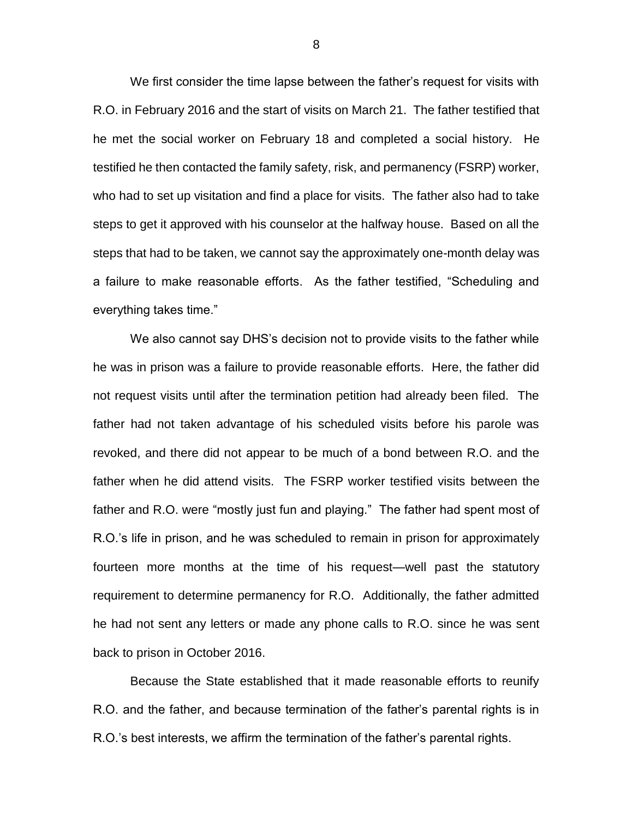We first consider the time lapse between the father's request for visits with R.O. in February 2016 and the start of visits on March 21. The father testified that he met the social worker on February 18 and completed a social history. He testified he then contacted the family safety, risk, and permanency (FSRP) worker, who had to set up visitation and find a place for visits. The father also had to take steps to get it approved with his counselor at the halfway house. Based on all the steps that had to be taken, we cannot say the approximately one-month delay was a failure to make reasonable efforts. As the father testified, "Scheduling and everything takes time."

We also cannot say DHS's decision not to provide visits to the father while he was in prison was a failure to provide reasonable efforts. Here, the father did not request visits until after the termination petition had already been filed. The father had not taken advantage of his scheduled visits before his parole was revoked, and there did not appear to be much of a bond between R.O. and the father when he did attend visits. The FSRP worker testified visits between the father and R.O. were "mostly just fun and playing." The father had spent most of R.O.'s life in prison, and he was scheduled to remain in prison for approximately fourteen more months at the time of his request—well past the statutory requirement to determine permanency for R.O. Additionally, the father admitted he had not sent any letters or made any phone calls to R.O. since he was sent back to prison in October 2016.

Because the State established that it made reasonable efforts to reunify R.O. and the father, and because termination of the father's parental rights is in R.O.'s best interests, we affirm the termination of the father's parental rights.

8